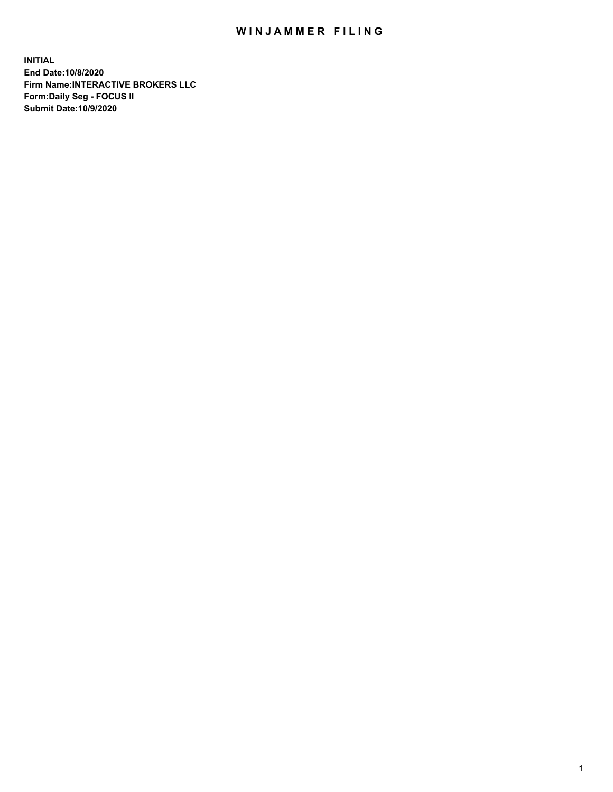## WIN JAMMER FILING

**INITIAL End Date:10/8/2020 Firm Name:INTERACTIVE BROKERS LLC Form:Daily Seg - FOCUS II Submit Date:10/9/2020**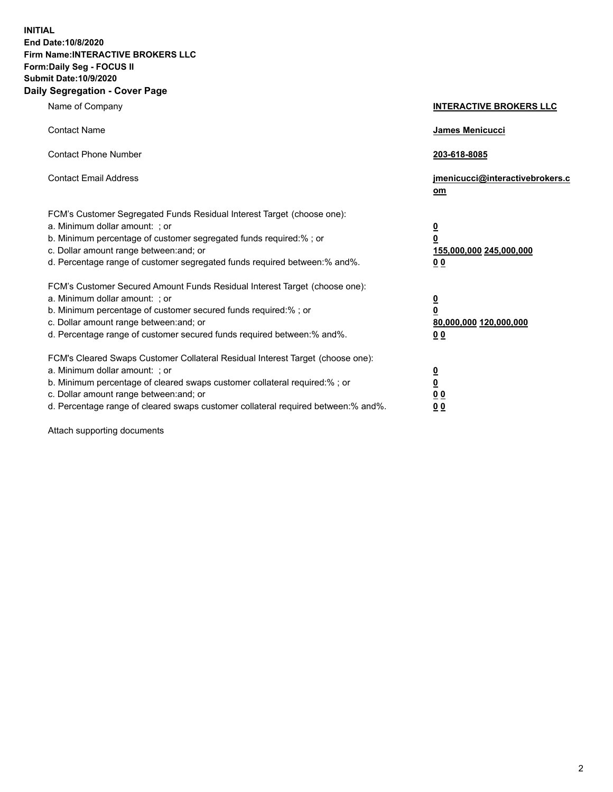**INITIAL End Date:10/8/2020 Firm Name:INTERACTIVE BROKERS LLC Form:Daily Seg - FOCUS II Submit Date:10/9/2020 Daily Segregation - Cover Page**

| Name of Company                                                                                                                                                                                                                                                                                                                | <b>INTERACTIVE BROKERS LLC</b>                                                                  |  |
|--------------------------------------------------------------------------------------------------------------------------------------------------------------------------------------------------------------------------------------------------------------------------------------------------------------------------------|-------------------------------------------------------------------------------------------------|--|
| <b>Contact Name</b>                                                                                                                                                                                                                                                                                                            | <b>James Menicucci</b>                                                                          |  |
| <b>Contact Phone Number</b>                                                                                                                                                                                                                                                                                                    | 203-618-8085                                                                                    |  |
| <b>Contact Email Address</b>                                                                                                                                                                                                                                                                                                   | jmenicucci@interactivebrokers.c<br>om                                                           |  |
| FCM's Customer Segregated Funds Residual Interest Target (choose one):<br>a. Minimum dollar amount: ; or<br>b. Minimum percentage of customer segregated funds required:%; or<br>c. Dollar amount range between: and; or<br>d. Percentage range of customer segregated funds required between:% and%.                          | $\overline{\mathbf{0}}$<br>$\overline{\mathbf{0}}$<br>155,000,000 245,000,000<br>0 <sub>0</sub> |  |
| FCM's Customer Secured Amount Funds Residual Interest Target (choose one):<br>a. Minimum dollar amount: ; or<br>b. Minimum percentage of customer secured funds required:%; or<br>c. Dollar amount range between: and; or<br>d. Percentage range of customer secured funds required between:% and%.                            | <u>0</u><br>$\overline{\mathbf{0}}$<br>80,000,000 120,000,000<br>0 <sub>0</sub>                 |  |
| FCM's Cleared Swaps Customer Collateral Residual Interest Target (choose one):<br>a. Minimum dollar amount: ; or<br>b. Minimum percentage of cleared swaps customer collateral required:% ; or<br>c. Dollar amount range between: and; or<br>d. Percentage range of cleared swaps customer collateral required between:% and%. | $\overline{\mathbf{0}}$<br>$\underline{\mathbf{0}}$<br>0 <sub>0</sub><br>00                     |  |

Attach supporting documents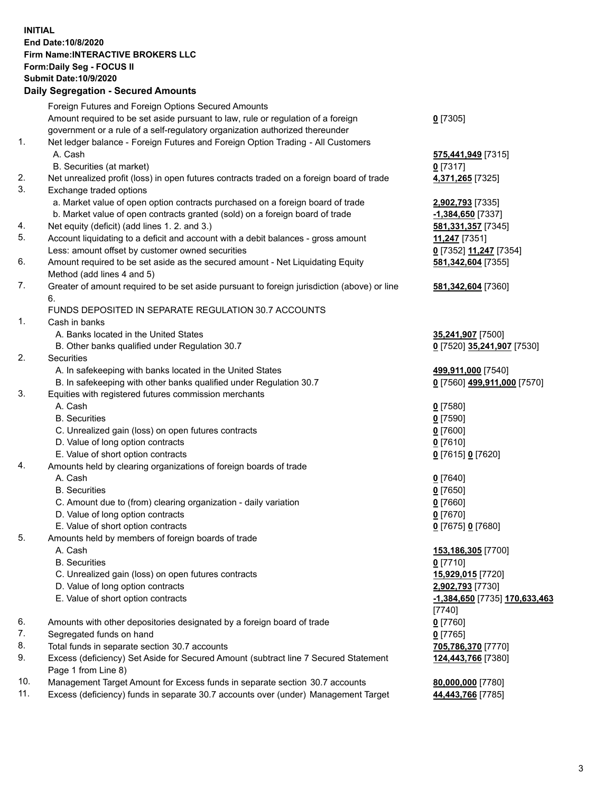**INITIAL End Date:10/8/2020 Firm Name:INTERACTIVE BROKERS LLC Form:Daily Seg - FOCUS II Submit Date:10/9/2020 Daily Segregation - Secured Amounts**

## Foreign Futures and Foreign Options Secured Amounts Amount required to be set aside pursuant to law, rule or regulation of a foreign government or a rule of a self-regulatory organization authorized thereunder **0** [7305] 1. Net ledger balance - Foreign Futures and Foreign Option Trading - All Customers A. Cash **575,441,949** [7315] B. Securities (at market) **0** [7317] 2. Net unrealized profit (loss) in open futures contracts traded on a foreign board of trade **4,371,265** [7325] 3. Exchange traded options a. Market value of open option contracts purchased on a foreign board of trade **2,902,793** [7335] b. Market value of open contracts granted (sold) on a foreign board of trade **-1,384,650** [7337] 4. Net equity (deficit) (add lines 1. 2. and 3.) **581,331,357** [7345] 5. Account liquidating to a deficit and account with a debit balances - gross amount **11,247** [7351] Less: amount offset by customer owned securities **0** [7352] **11,247** [7354] 6. Amount required to be set aside as the secured amount - Net Liquidating Equity Method (add lines 4 and 5) **581,342,604** [7355] 7. Greater of amount required to be set aside pursuant to foreign jurisdiction (above) or line 6. **581,342,604** [7360] FUNDS DEPOSITED IN SEPARATE REGULATION 30.7 ACCOUNTS 1. Cash in banks A. Banks located in the United States **35,241,907** [7500] B. Other banks qualified under Regulation 30.7 **0** [7520] **35,241,907** [7530] 2. Securities A. In safekeeping with banks located in the United States **499,911,000** [7540] B. In safekeeping with other banks qualified under Regulation 30.7 **0** [7560] **499,911,000** [7570] 3. Equities with registered futures commission merchants A. Cash **0** [7580] B. Securities **0** [7590] C. Unrealized gain (loss) on open futures contracts **0** [7600] D. Value of long option contracts **0** [7610] E. Value of short option contracts **0** [7615] **0** [7620] 4. Amounts held by clearing organizations of foreign boards of trade A. Cash **0** [7640] B. Securities **0** [7650] C. Amount due to (from) clearing organization - daily variation **0** [7660] D. Value of long option contracts **0** [7670] E. Value of short option contracts **0** [7675] **0** [7680] 5. Amounts held by members of foreign boards of trade A. Cash **153,186,305** [7700] B. Securities **0** [7710] C. Unrealized gain (loss) on open futures contracts **15,929,015** [7720] D. Value of long option contracts **2,902,793** [7730] E. Value of short option contracts **-1,384,650** [7735] **170,633,463** [7740] 6. Amounts with other depositories designated by a foreign board of trade **0** [7760] 7. Segregated funds on hand **0** [7765] 8. Total funds in separate section 30.7 accounts **705,786,370** [7770] 9. Excess (deficiency) Set Aside for Secured Amount (subtract line 7 Secured Statement Page 1 from Line 8) **124,443,766** [7380] 10. Management Target Amount for Excess funds in separate section 30.7 accounts **80,000,000** [7780] 11. Excess (deficiency) funds in separate 30.7 accounts over (under) Management Target **44,443,766** [7785]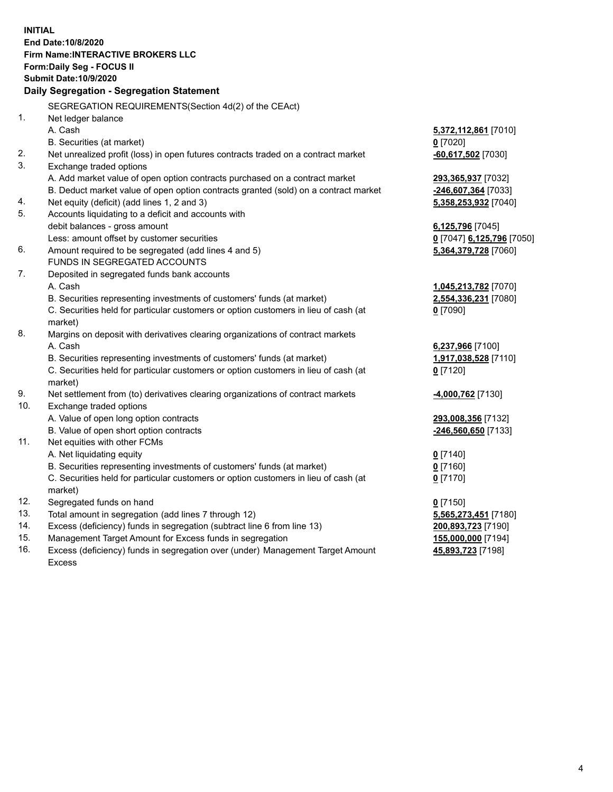**INITIAL End Date:10/8/2020 Firm Name:INTERACTIVE BROKERS LLC Form:Daily Seg - FOCUS II Submit Date:10/9/2020 Daily Segregation - Segregation Statement** SEGREGATION REQUIREMENTS(Section 4d(2) of the CEAct) 1. Net ledger balance A. Cash **5,372,112,861** [7010] B. Securities (at market) **0** [7020] 2. Net unrealized profit (loss) in open futures contracts traded on a contract market **-60,617,502** [7030] 3. Exchange traded options A. Add market value of open option contracts purchased on a contract market **293,365,937** [7032] B. Deduct market value of open option contracts granted (sold) on a contract market **-246,607,364** [7033] 4. Net equity (deficit) (add lines 1, 2 and 3) **5,358,253,932** [7040] 5. Accounts liquidating to a deficit and accounts with debit balances - gross amount **6,125,796** [7045] Less: amount offset by customer securities **0** [7047] **6,125,796** [7050] 6. Amount required to be segregated (add lines 4 and 5) **5,364,379,728** [7060] FUNDS IN SEGREGATED ACCOUNTS 7. Deposited in segregated funds bank accounts A. Cash **1,045,213,782** [7070] B. Securities representing investments of customers' funds (at market) **2,554,336,231** [7080] C. Securities held for particular customers or option customers in lieu of cash (at market) **0** [7090] 8. Margins on deposit with derivatives clearing organizations of contract markets A. Cash **6,237,966** [7100] B. Securities representing investments of customers' funds (at market) **1,917,038,528** [7110] C. Securities held for particular customers or option customers in lieu of cash (at market) **0** [7120] 9. Net settlement from (to) derivatives clearing organizations of contract markets **-4,000,762** [7130] 10. Exchange traded options A. Value of open long option contracts **293,008,356** [7132] B. Value of open short option contracts **-246,560,650** [7133] 11. Net equities with other FCMs A. Net liquidating equity **0** [7140] B. Securities representing investments of customers' funds (at market) **0** [7160] C. Securities held for particular customers or option customers in lieu of cash (at market) **0** [7170] 12. Segregated funds on hand **0** [7150] 13. Total amount in segregation (add lines 7 through 12) **5,565,273,451** [7180] 14. Excess (deficiency) funds in segregation (subtract line 6 from line 13) **200,893,723** [7190] 15. Management Target Amount for Excess funds in segregation **155,000,000** [7194] **45,893,723** [7198]

16. Excess (deficiency) funds in segregation over (under) Management Target Amount Excess